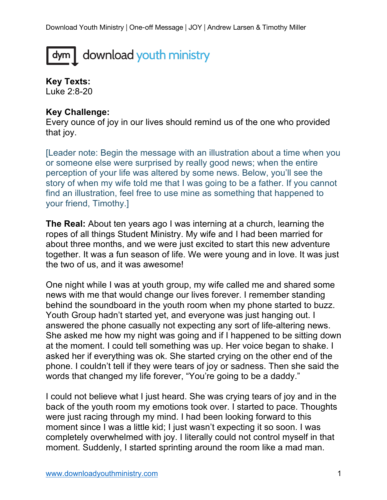## dym download youth ministry

**Key Texts:** Luke 2:8-20

## **Key Challenge:**

Every ounce of joy in our lives should remind us of the one who provided that joy.

[Leader note: Begin the message with an illustration about a time when you or someone else were surprised by really good news; when the entire perception of your life was altered by some news. Below, you'll see the story of when my wife told me that I was going to be a father. If you cannot find an illustration, feel free to use mine as something that happened to your friend, Timothy.]

**The Real:** About ten years ago I was interning at a church, learning the ropes of all things Student Ministry. My wife and I had been married for about three months, and we were just excited to start this new adventure together. It was a fun season of life. We were young and in love. It was just the two of us, and it was awesome!

One night while I was at youth group, my wife called me and shared some news with me that would change our lives forever. I remember standing behind the soundboard in the youth room when my phone started to buzz. Youth Group hadn't started yet, and everyone was just hanging out. I answered the phone casually not expecting any sort of life-altering news. She asked me how my night was going and if I happened to be sitting down at the moment. I could tell something was up. Her voice began to shake. I asked her if everything was ok. She started crying on the other end of the phone. I couldn't tell if they were tears of joy or sadness. Then she said the words that changed my life forever, "You're going to be a daddy."

I could not believe what I just heard. She was crying tears of joy and in the back of the youth room my emotions took over. I started to pace. Thoughts were just racing through my mind. I had been looking forward to this moment since I was a little kid; I just wasn't expecting it so soon. I was completely overwhelmed with joy. I literally could not control myself in that moment. Suddenly, I started sprinting around the room like a mad man.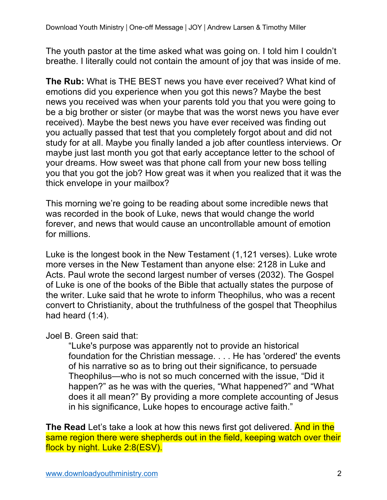The youth pastor at the time asked what was going on. I told him I couldn't breathe. I literally could not contain the amount of joy that was inside of me.

**The Rub:** What is THE BEST news you have ever received? What kind of emotions did you experience when you got this news? Maybe the best news you received was when your parents told you that you were going to be a big brother or sister (or maybe that was the worst news you have ever received). Maybe the best news you have ever received was finding out you actually passed that test that you completely forgot about and did not study for at all. Maybe you finally landed a job after countless interviews. Or maybe just last month you got that early acceptance letter to the school of your dreams. How sweet was that phone call from your new boss telling you that you got the job? How great was it when you realized that it was the thick envelope in your mailbox?

This morning we're going to be reading about some incredible news that was recorded in the book of Luke, news that would change the world forever, and news that would cause an uncontrollable amount of emotion for millions.

Luke is the longest book in the New Testament (1,121 verses). Luke wrote more verses in the New Testament than anyone else: 2128 in Luke and Acts. Paul wrote the second largest number of verses (2032). The Gospel of Luke is one of the books of the Bible that actually states the purpose of the writer. Luke said that he wrote to inform Theophilus, who was a recent convert to Christianity, about the truthfulness of the gospel that Theophilus had heard (1:4).

Joel B. Green said that:

"Luke's purpose was apparently not to provide an historical foundation for the Christian message. . . . He has 'ordered' the events of his narrative so as to bring out their significance, to persuade Theophilus—who is not so much concerned with the issue, "Did it happen?" as he was with the queries, "What happened?" and "What does it all mean?" By providing a more complete accounting of Jesus in his significance, Luke hopes to encourage active faith."

**The Read** Let's take a look at how this news first got delivered. And in the same region there were shepherds out in the field, keeping watch over their flock by night. Luke 2:8(ESV).